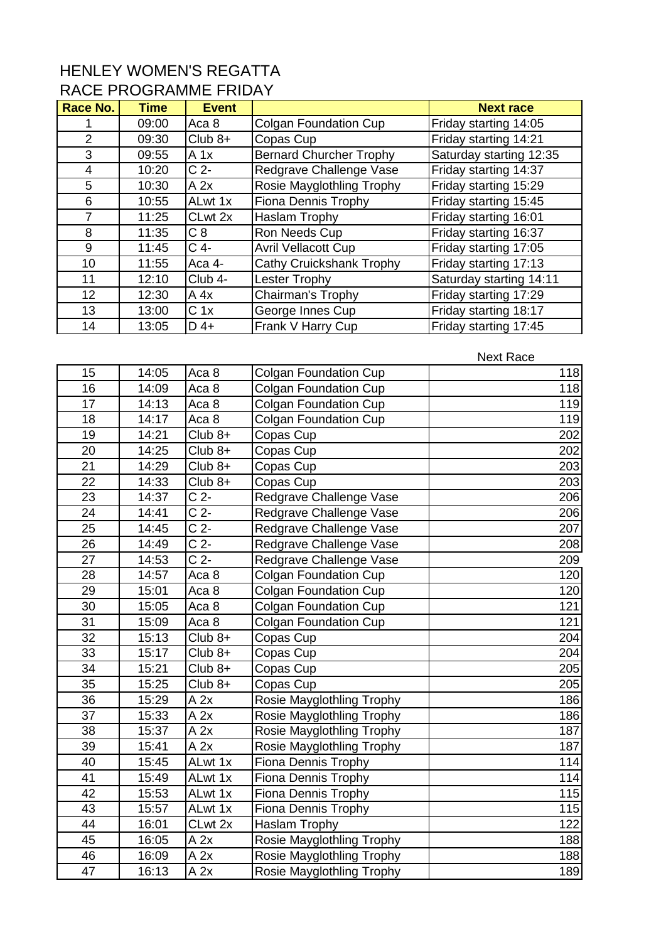## HENLEY WOMEN'S REGATTA RACE PROGRAMME FRIDAY

| Race No.       | <b>Time</b> | <b>Event</b>     |                                | <b>Next race</b>        |
|----------------|-------------|------------------|--------------------------------|-------------------------|
|                | 09:00       | Aca <sub>8</sub> | Colgan Foundation Cup          | Friday starting 14:05   |
| $\overline{2}$ | 09:30       | $Club 8+$        | Copas Cup                      | Friday starting 14:21   |
| 3              | 09:55       | A 1x             | <b>Bernard Churcher Trophy</b> | Saturday starting 12:35 |
| 4              | 10:20       | C <sub>2</sub>   | Redgrave Challenge Vase        | Friday starting 14:37   |
| 5              | 10:30       | A 2x             | Rosie Mayglothling Trophy      | Friday starting 15:29   |
| 6              | 10:55       | ALwt 1x          | <b>Fiona Dennis Trophy</b>     | Friday starting 15:45   |
| 7              | 11:25       | CLwt 2x          | <b>Haslam Trophy</b>           | Friday starting 16:01   |
| 8              | 11:35       | C8               | Ron Needs Cup                  | Friday starting 16:37   |
| 9              | 11:45       | $C$ 4-           | <b>Avril Vellacott Cup</b>     | Friday starting 17:05   |
| 10             | 11:55       | Aca 4-           | Cathy Cruickshank Trophy       | Friday starting 17:13   |
| 11             | 12:10       | Club 4-          | Lester Trophy                  | Saturday starting 14:11 |
| 12             | 12:30       | A 4x             | Chairman's Trophy              | Friday starting 17:29   |
| 13             | 13:00       | C <sub>1x</sub>  | George Innes Cup               | Friday starting 18:17   |
| 14             | 13:05       | $D$ 4+           | Frank V Harry Cup              | Friday starting 17:45   |

| 15 | 14:05 | Aca <sub>8</sub>  | <b>Colgan Foundation Cup</b> | 118 |
|----|-------|-------------------|------------------------------|-----|
| 16 | 14:09 | Aca <sub>8</sub>  | <b>Colgan Foundation Cup</b> | 118 |
| 17 | 14:13 | Aca 8             | <b>Colgan Foundation Cup</b> | 119 |
| 18 | 14:17 | Aca <sub>8</sub>  | <b>Colgan Foundation Cup</b> | 119 |
| 19 | 14:21 | $Club 8+$         | Copas Cup                    | 202 |
| 20 | 14:25 | $Club 8+$         | Copas Cup                    | 202 |
| 21 | 14:29 | $Club 8+$         | Copas Cup                    | 203 |
| 22 | 14:33 | $Club 8+$         | Copas Cup                    | 203 |
| 23 | 14:37 | $\overline{C}$ 2- | Redgrave Challenge Vase      | 206 |
| 24 | 14:41 | $\overline{C}$ 2- | Redgrave Challenge Vase      | 206 |
| 25 | 14:45 | $\overline{C}$ 2- | Redgrave Challenge Vase      | 207 |
| 26 | 14:49 | C <sub>2</sub>    | Redgrave Challenge Vase      | 208 |
| 27 | 14:53 | C <sub>2</sub>    | Redgrave Challenge Vase      | 209 |
| 28 | 14:57 | Aca 8             | <b>Colgan Foundation Cup</b> | 120 |
| 29 | 15:01 | Aca <sub>8</sub>  | <b>Colgan Foundation Cup</b> | 120 |
| 30 | 15:05 | Aca <sub>8</sub>  | <b>Colgan Foundation Cup</b> | 121 |
| 31 | 15:09 | Aca <sub>8</sub>  | <b>Colgan Foundation Cup</b> | 121 |
| 32 | 15:13 | $Club 8+$         | Copas Cup                    | 204 |
| 33 | 15:17 | $Club 8+$         | Copas Cup                    | 204 |
| 34 | 15:21 | $Club 8+$         | Copas Cup                    | 205 |
| 35 | 15:25 | $Club 8+$         | Copas Cup                    | 205 |
| 36 | 15:29 | A 2x              | Rosie Mayglothling Trophy    | 186 |
| 37 | 15:33 | A 2x              | Rosie Mayglothling Trophy    | 186 |
| 38 | 15:37 | A 2x              | Rosie Mayglothling Trophy    | 187 |
| 39 | 15:41 | A 2x              | Rosie Mayglothling Trophy    | 187 |
| 40 | 15:45 | ALwt 1x           | Fiona Dennis Trophy          | 114 |
| 41 | 15:49 | ALwt 1x           | Fiona Dennis Trophy          | 114 |
| 42 | 15:53 | ALwt 1x           | <b>Fiona Dennis Trophy</b>   | 115 |
| 43 | 15:57 | ALwt 1x           | Fiona Dennis Trophy          | 115 |
| 44 | 16:01 | CLwt 2x           | Haslam Trophy                | 122 |
| 45 | 16:05 | A 2x              | Rosie Mayglothling Trophy    | 188 |
| 46 | 16:09 | A 2x              | Rosie Mayglothling Trophy    | 188 |
| 47 | 16:13 | A 2x              | Rosie Mayglothling Trophy    | 189 |

Next Race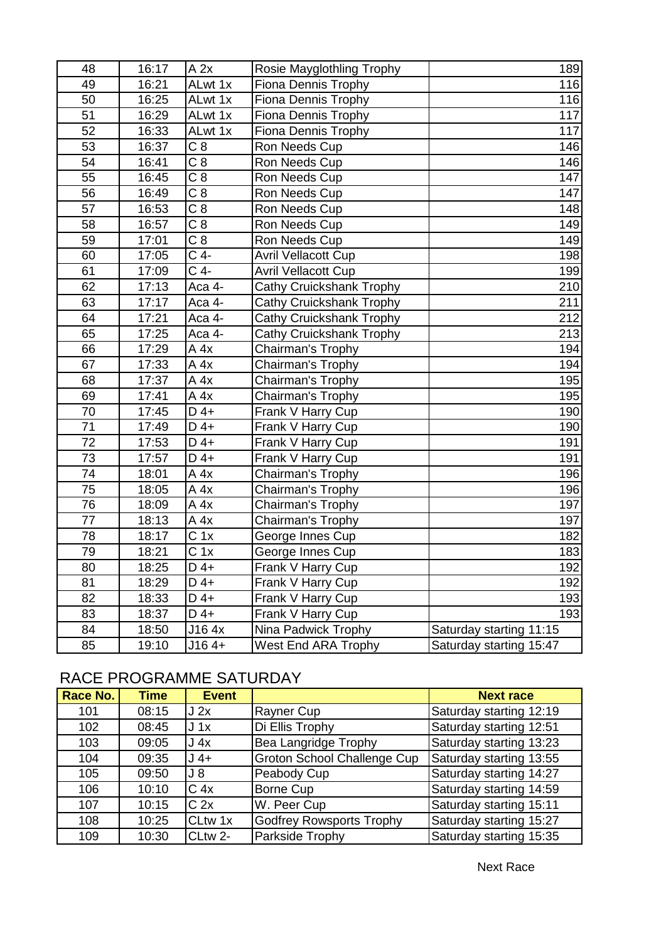| 48              | 16:17 | A 2x              | Rosie Mayglothling Trophy  | 189                     |
|-----------------|-------|-------------------|----------------------------|-------------------------|
| 49              | 16:21 | ALwt 1x           | <b>Fiona Dennis Trophy</b> | 116                     |
| 50              | 16:25 | ALwt 1x           | <b>Fiona Dennis Trophy</b> | 116                     |
| 51              | 16:29 | ALwt 1x           | <b>Fiona Dennis Trophy</b> | 117                     |
| 52              | 16:33 | ALwt 1x           | <b>Fiona Dennis Trophy</b> | 117                     |
| 53              | 16:37 | $\overline{C8}$   | Ron Needs Cup              | 146                     |
| 54              | 16:41 | C <sub>8</sub>    | Ron Needs Cup              | 146                     |
| 55              | 16:45 | C8                | Ron Needs Cup              | 147                     |
| 56              | 16:49 | $\overline{C8}$   | Ron Needs Cup              | 147                     |
| 57              | 16:53 | C8                | Ron Needs Cup              | 148                     |
| 58              | 16:57 | C <sub>8</sub>    | Ron Needs Cup              | 149                     |
| 59              | 17:01 | C8                | Ron Needs Cup              | 149                     |
| 60              | 17:05 | $C$ 4-            | <b>Avril Vellacott Cup</b> | 198                     |
| 61              | 17:09 | $C$ 4-            | <b>Avril Vellacott Cup</b> | 199                     |
| 62              | 17:13 | Aca 4-            | Cathy Cruickshank Trophy   | 210                     |
| 63              | 17:17 | Aca 4-            | Cathy Cruickshank Trophy   | 211                     |
| 64              | 17:21 | Aca 4-            | Cathy Cruickshank Trophy   | 212                     |
| 65              | 17:25 | Aca 4-            | Cathy Cruickshank Trophy   | 213                     |
| 66              | 17:29 | A 4x              | Chairman's Trophy          | 194                     |
| 67              | 17:33 | A 4x              | Chairman's Trophy          | 194                     |
| 68              | 17:37 | A 4x              | Chairman's Trophy          | 195                     |
| 69              | 17:41 | A 4x              | Chairman's Trophy          | 195                     |
| 70              | 17:45 | $D$ 4+            | Frank V Harry Cup          | 190                     |
| 71              | 17:49 | $D$ 4+            | Frank V Harry Cup          | 190                     |
| 72              | 17:53 | $D$ 4+            | Frank V Harry Cup          | 191                     |
| 73              | 17:57 | $D$ 4+            | Frank V Harry Cup          | 191                     |
| 74              | 18:01 | A 4x              | Chairman's Trophy          | 196                     |
| 75              | 18:05 | A 4x              | Chairman's Trophy          | 196                     |
| 76              | 18:09 | A 4x              | Chairman's Trophy          | 197                     |
| $\overline{77}$ | 18:13 | A 4x              | Chairman's Trophy          | 197                     |
| 78              | 18:17 | $\overline{C}$ 1x | George Innes Cup           | 182                     |
| 79              | 18:21 | C <sub>1x</sub>   | George Innes Cup           | 183                     |
| 80              | 18:25 | $D$ 4+            | Frank V Harry Cup          | 192                     |
| 81              | 18:29 | $D$ 4+            | Frank V Harry Cup          | 192                     |
| 82              | 18:33 | D 4+              | Frank V Harry Cup          | 193                     |
| 83              | 18:37 | $D$ 4+            | Frank V Harry Cup          | 193                     |
| 84              | 18:50 | J16 4x            | Nina Padwick Trophy        | Saturday starting 11:15 |
| 85              | 19:10 | $J164+$           | <b>West End ARA Trophy</b> | Saturday starting 15:47 |

## RACE PROGRAMME SATURDAY

| Race No. | <b>Time</b> | <b>Event</b>    |                                    | <b>Next race</b>        |
|----------|-------------|-----------------|------------------------------------|-------------------------|
| 101      | 08:15       | J2x             | Rayner Cup                         | Saturday starting 12:19 |
| 102      | 08:45       | $J_1x$          | Di Ellis Trophy                    | Saturday starting 12:51 |
| 103      | 09:05       | J 4x            | Bea Langridge Trophy               | Saturday starting 13:23 |
| 104      | 09:35       | $J$ 4+          | <b>Groton School Challenge Cup</b> | Saturday starting 13:55 |
| 105      | 09:50       | $J_8$           | Peabody Cup                        | Saturday starting 14:27 |
| 106      | 10:10       | C <sub>4x</sub> | <b>Borne Cup</b>                   | Saturday starting 14:59 |
| 107      | 10:15       | C <sub>2x</sub> | W. Peer Cup                        | Saturday starting 15:11 |
| 108      | 10:25       | <b>CLtw 1x</b>  | Godfrey Rowsports Trophy           | Saturday starting 15:27 |
| 109      | 10:30       | CLtw 2-         | Parkside Trophy                    | Saturday starting 15:35 |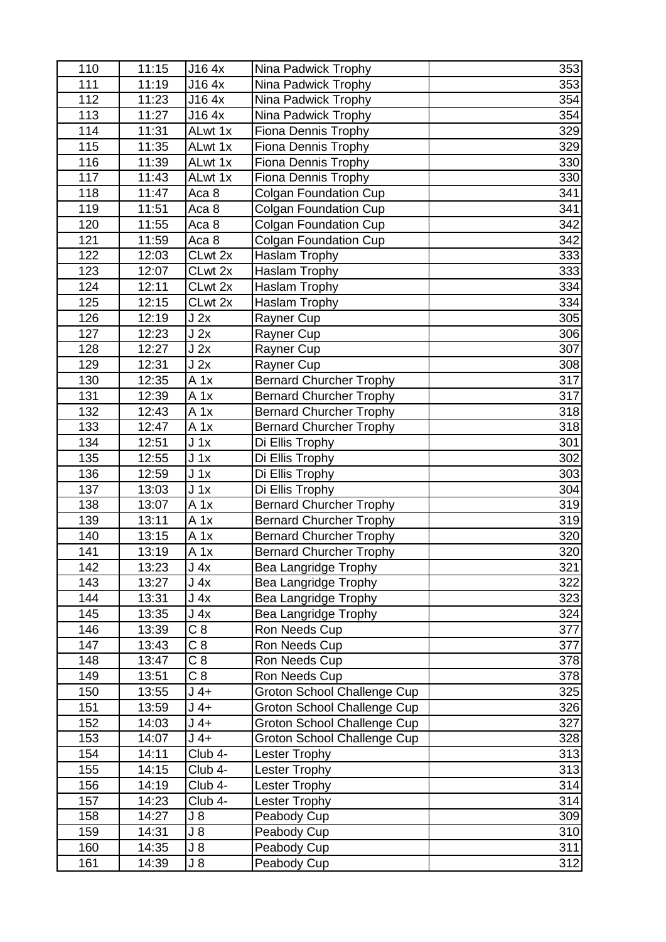| 110 | 11:15 | J16 4x                       | Nina Padwick Trophy                | 353 |
|-----|-------|------------------------------|------------------------------------|-----|
| 111 | 11:19 | J16 4x                       | Nina Padwick Trophy                | 353 |
| 112 | 11:23 | J16 4x                       | Nina Padwick Trophy                | 354 |
| 113 | 11:27 | J16 4x                       | Nina Padwick Trophy                | 354 |
| 114 | 11:31 | ALwt 1x                      | <b>Fiona Dennis Trophy</b>         | 329 |
| 115 | 11:35 | ALwt 1x                      | Fiona Dennis Trophy                | 329 |
| 116 | 11:39 | ALwt 1x                      | Fiona Dennis Trophy                | 330 |
| 117 | 11:43 | ALwt 1x                      | Fiona Dennis Trophy                | 330 |
| 118 | 11:47 | Aca <sub>8</sub>             | <b>Colgan Foundation Cup</b>       | 341 |
| 119 | 11:51 | Aca <sub>8</sub>             | <b>Colgan Foundation Cup</b>       | 341 |
| 120 | 11:55 | Aca <sub>8</sub>             | <b>Colgan Foundation Cup</b>       | 342 |
| 121 | 11:59 | Aca <sub>8</sub>             | <b>Colgan Foundation Cup</b>       | 342 |
| 122 | 12:03 | CLwt 2x                      | Haslam Trophy                      | 333 |
| 123 | 12:07 | CLwt 2x                      | Haslam Trophy                      | 333 |
| 124 | 12:11 | CLwt 2x                      | Haslam Trophy                      | 334 |
| 125 | 12:15 | $\overline{\text{CL}}$ wt 2x | Haslam Trophy                      | 334 |
| 126 | 12:19 | J2x                          | Rayner Cup                         | 305 |
| 127 | 12:23 | J2x                          | Rayner Cup                         | 306 |
| 128 | 12:27 | J2x                          | Rayner Cup                         | 307 |
| 129 | 12:31 | J2x                          | Rayner Cup                         | 308 |
| 130 | 12:35 | A 1x                         | <b>Bernard Churcher Trophy</b>     | 317 |
| 131 | 12:39 | $A$ 1x                       | <b>Bernard Churcher Trophy</b>     | 317 |
| 132 | 12:43 | A 1x                         | <b>Bernard Churcher Trophy</b>     | 318 |
| 133 | 12:47 | A 1x                         | <b>Bernard Churcher Trophy</b>     | 318 |
| 134 | 12:51 | $J_1x$                       | Di Ellis Trophy                    | 301 |
| 135 | 12:55 | $J_1x$                       | Di Ellis Trophy                    | 302 |
| 136 | 12:59 | $J_1x$                       | Di Ellis Trophy                    | 303 |
| 137 | 13:03 | $J_1x$                       | Di Ellis Trophy                    | 304 |
| 138 | 13:07 | $A$ 1x                       | <b>Bernard Churcher Trophy</b>     | 319 |
| 139 | 13:11 | A 1x                         | <b>Bernard Churcher Trophy</b>     | 319 |
| 140 | 13:15 | A 1x                         | <b>Bernard Churcher Trophy</b>     | 320 |
| 141 | 13:19 | A 1x                         | <b>Bernard Churcher Trophy</b>     | 320 |
| 142 | 13:23 | J <sub>4x</sub>              | Bea Langridge Trophy               | 321 |
| 143 | 13:27 | J 4x                         | Bea Langridge Trophy               | 322 |
| 144 | 13:31 | J 4x                         | Bea Langridge Trophy               | 323 |
| 145 | 13:35 | J <sub>4x</sub>              | Bea Langridge Trophy               | 324 |
| 146 | 13:39 | C <sub>8</sub>               | Ron Needs Cup                      | 377 |
| 147 | 13:43 | C8                           | Ron Needs Cup                      | 377 |
| 148 | 13:47 | C8                           | Ron Needs Cup                      | 378 |
| 149 | 13:51 | C8                           | Ron Needs Cup                      | 378 |
| 150 | 13:55 | $J$ 4+                       | Groton School Challenge Cup        | 325 |
| 151 | 13:59 | $J$ 4+                       | Groton School Challenge Cup        | 326 |
| 152 | 14:03 | $J4+$                        | Groton School Challenge Cup        | 327 |
| 153 | 14:07 | $J$ 4+                       | <b>Groton School Challenge Cup</b> | 328 |
| 154 | 14:11 | Club 4-                      | Lester Trophy                      | 313 |
| 155 | 14:15 | Club 4-                      | Lester Trophy                      | 313 |
| 156 | 14:19 | Club 4-                      | Lester Trophy                      | 314 |
| 157 | 14:23 | Club 4-                      | Lester Trophy                      | 314 |
| 158 | 14:27 | $J_8$                        | Peabody Cup                        | 309 |
| 159 | 14:31 | $J_8$                        | Peabody Cup                        | 310 |
| 160 | 14:35 | J 8                          | Peabody Cup                        | 311 |
| 161 | 14:39 | $J_8$                        | Peabody Cup                        | 312 |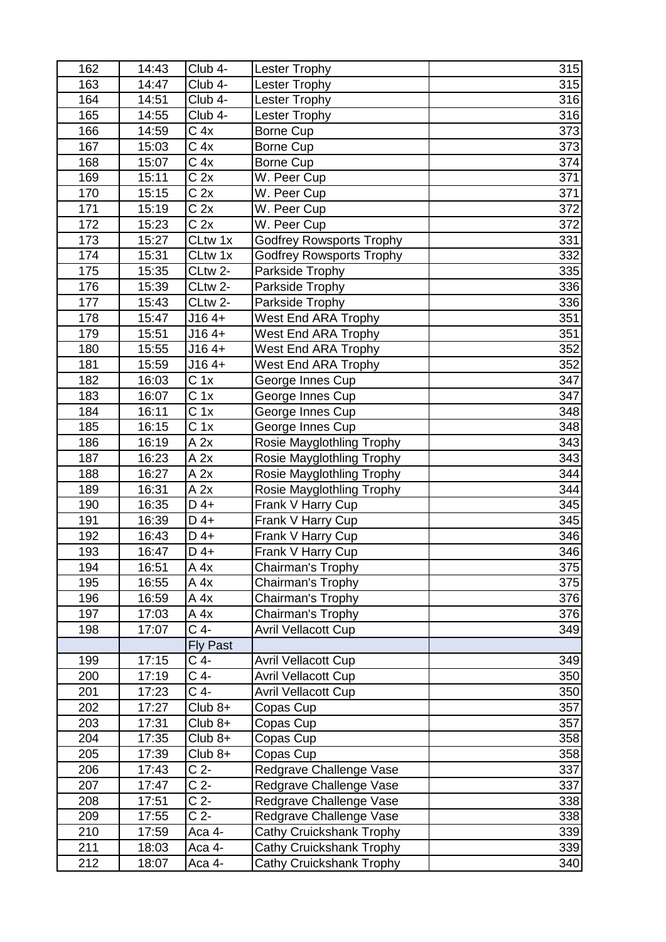| 162 | 14:43 | Club 4-           | <b>Lester Trophy</b>            | 315 |
|-----|-------|-------------------|---------------------------------|-----|
| 163 | 14:47 | Club 4-           | Lester Trophy                   | 315 |
| 164 | 14:51 | Club 4-           | <b>Lester Trophy</b>            | 316 |
| 165 | 14:55 | Club 4-           | <b>Lester Trophy</b>            | 316 |
| 166 | 14:59 | C <sub>4x</sub>   | Borne Cup                       | 373 |
| 167 | 15:03 | C <sub>4x</sub>   | Borne Cup                       | 373 |
| 168 | 15:07 | C <sub>4x</sub>   | Borne Cup                       | 374 |
| 169 | 15:11 | C <sub>2x</sub>   | W. Peer Cup                     | 371 |
| 170 | 15:15 | C <sub>2x</sub>   | W. Peer Cup                     | 371 |
| 171 | 15:19 | C <sub>2x</sub>   | W. Peer Cup                     | 372 |
| 172 | 15:23 | C <sub>2x</sub>   | W. Peer Cup                     | 372 |
| 173 | 15:27 | CLtw 1x           | <b>Godfrey Rowsports Trophy</b> | 331 |
| 174 | 15:31 | CLtw 1x           | <b>Godfrey Rowsports Trophy</b> | 332 |
| 175 | 15:35 | CLtw 2-           | Parkside Trophy                 | 335 |
| 176 | 15:39 | CLtw 2-           | Parkside Trophy                 | 336 |
| 177 | 15:43 | CLtw 2-           | Parkside Trophy                 | 336 |
| 178 | 15:47 | $J164+$           | <b>West End ARA Trophy</b>      | 351 |
| 179 | 15:51 | $J164+$           | West End ARA Trophy             | 351 |
| 180 | 15:55 | $J164+$           | <b>West End ARA Trophy</b>      | 352 |
| 181 | 15:59 | $J164+$           | West End ARA Trophy             | 352 |
| 182 | 16:03 | C <sub>1x</sub>   | George Innes Cup                | 347 |
| 183 | 16:07 | $\overline{C}$ 1x | George Innes Cup                | 347 |
| 184 | 16:11 | C <sub>1x</sub>   | George Innes Cup                | 348 |
| 185 | 16:15 | C <sub>1x</sub>   | George Innes Cup                | 348 |
| 186 | 16:19 | A 2x              | Rosie Mayglothling Trophy       | 343 |
| 187 | 16:23 | A 2x              | Rosie Mayglothling Trophy       | 343 |
| 188 | 16:27 | A 2x              | Rosie Mayglothling Trophy       | 344 |
| 189 | 16:31 | A 2x              | Rosie Mayglothling Trophy       | 344 |
| 190 | 16:35 | $D$ 4+            | Frank V Harry Cup               | 345 |
| 191 | 16:39 | $D$ 4+            | Frank V Harry Cup               | 345 |
| 192 | 16:43 | $D$ 4+            | Frank V Harry Cup               | 346 |
| 193 | 16:47 | $D$ 4+            | Frank V Harry Cup               | 346 |
| 194 | 16:51 | A 4x              | Chairman's Trophy               | 375 |
| 195 | 16:55 | A 4x              | Chairman's Trophy               | 375 |
| 196 | 16:59 | A 4x              | Chairman's Trophy               | 376 |
| 197 | 17:03 | A 4x              | Chairman's Trophy               | 376 |
| 198 | 17:07 | C 4-              | <b>Avril Vellacott Cup</b>      | 349 |
|     |       | <b>Fly Past</b>   |                                 |     |
| 199 | 17:15 | $C$ 4-            | <b>Avril Vellacott Cup</b>      | 349 |
| 200 | 17:19 | C 4-              | <b>Avril Vellacott Cup</b>      | 350 |
| 201 | 17:23 | $C$ 4-            | <b>Avril Vellacott Cup</b>      | 350 |
| 202 | 17:27 | $Club 8+$         | Copas Cup                       | 357 |
| 203 | 17:31 | $Club 8+$         | Copas Cup                       | 357 |
| 204 | 17:35 | $Club 8+$         | Copas Cup                       | 358 |
| 205 | 17:39 | $Club 8+$         | Copas Cup                       | 358 |
| 206 | 17:43 | C <sub>2</sub>    | Redgrave Challenge Vase         | 337 |
| 207 | 17:47 | C <sub>2</sub>    | Redgrave Challenge Vase         | 337 |
| 208 | 17:51 | C <sub>2</sub>    | Redgrave Challenge Vase         | 338 |
| 209 | 17:55 | C <sub>2</sub>    | Redgrave Challenge Vase         | 338 |
| 210 | 17:59 | Aca 4-            | Cathy Cruickshank Trophy        | 339 |
| 211 | 18:03 | Aca 4-            | Cathy Cruickshank Trophy        | 339 |
| 212 | 18:07 | Aca 4-            | Cathy Cruickshank Trophy        | 340 |
|     |       |                   |                                 |     |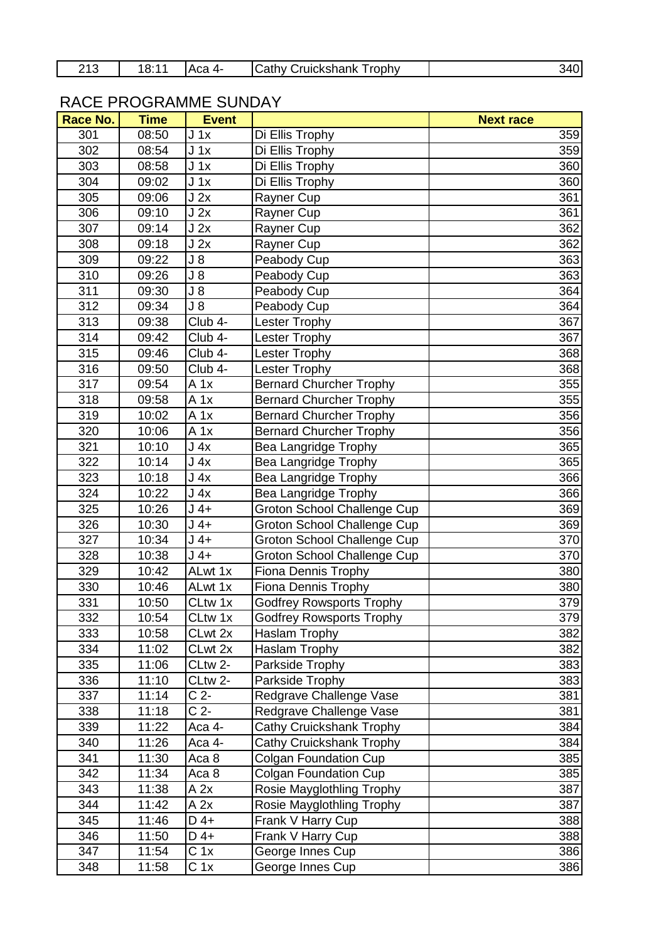| ດ4 ⊂ | 18:1<br>Aca 4- | <b>Cathy Cruickshank</b><br>Trophy | י ג |
|------|----------------|------------------------------------|-----|
|------|----------------|------------------------------------|-----|

## RACE PROGRAMME SUNDAY

| Race No. | <b>Time</b> | <b>Event</b>        |                                    | <b>Next race</b> |
|----------|-------------|---------------------|------------------------------------|------------------|
| 301      | 08:50       | J <sub>1x</sub>     | Di Ellis Trophy                    | 359              |
| 302      | 08:54       | $J_1x$              | Di Ellis Trophy                    | 359              |
| 303      | 08:58       | J 1x                | Di Ellis Trophy                    | 360              |
| 304      | 09:02       | $J_1x$              | Di Ellis Trophy                    | 360              |
| 305      | 09:06       | J 2x                | Rayner Cup                         | 361              |
| 306      | 09:10       | J 2x                | Rayner Cup                         | 361              |
| 307      | 09:14       | J 2x                | Rayner Cup                         | 362              |
| 308      | 09:18       | J2x                 | Rayner Cup                         | 362              |
| 309      | 09:22       | J 8                 | Peabody Cup                        | 363              |
| 310      | 09:26       | $J_8$               | Peabody Cup                        | 363              |
| 311      | 09:30       | $J_8$               | Peabody Cup                        | 364              |
| 312      | 09:34       | $J_8$               | Peabody Cup                        | 364              |
| 313      | 09:38       | Club 4-             | <b>Lester Trophy</b>               | 367              |
| 314      | 09:42       | Club 4-             | <b>Lester Trophy</b>               | 367              |
| 315      | 09:46       | Club 4-             | <b>Lester Trophy</b>               | 368              |
| 316      | 09:50       | Club 4-             | <b>Lester Trophy</b>               | 368              |
| 317      | 09:54       | $A$ 1x              | <b>Bernard Churcher Trophy</b>     | 355              |
| 318      | 09:58       | A 1x                | <b>Bernard Churcher Trophy</b>     | 355              |
| 319      | 10:02       | $A$ 1x              | Bernard Churcher Trophy            | 356              |
| 320      | 10:06       | A 1x                | <b>Bernard Churcher Trophy</b>     | 356              |
| 321      | 10:10       | J <sub>4x</sub>     | Bea Langridge Trophy               | 365              |
| 322      | 10:14       | J <sub>4x</sub>     | Bea Langridge Trophy               | 365              |
| 323      | 10:18       | J <sub>4x</sub>     | Bea Langridge Trophy               | 366              |
| 324      | 10:22       | J <sub>4x</sub>     | Bea Langridge Trophy               | 366              |
| 325      | 10:26       | $J$ 4+              | Groton School Challenge Cup        | 369              |
| 326      | 10:30       | $J$ 4+              | <b>Groton School Challenge Cup</b> | 369              |
| 327      | 10:34       | $J$ 4+              | Groton School Challenge Cup        | 370              |
| 328      | 10:38       | $J4+$               | Groton School Challenge Cup        | 370              |
| 329      | 10:42       | ALwt 1x             | <b>Fiona Dennis Trophy</b>         | 380              |
| 330      | 10:46       | ALwt 1x             | Fiona Dennis Trophy                | 380              |
| 331      | 10:50       | CLtw 1x             | <b>Godfrey Rowsports Trophy</b>    | 379              |
| 332      | 10:54       | CLtw 1x             | <b>Godfrey Rowsports Trophy</b>    | 379              |
| 333      | 10:58       | CLwt 2x             | Haslam Trophy                      | 382              |
| 334      | 11:02       | CLwt 2x             | Haslam Trophy                      | 382              |
| 335      | 11:06       | CLtw 2-             | Parkside Trophy                    | 383              |
| 336      | 11:10       | CLtw <sub>2</sub> - | Parkside Trophy                    | 383              |
| 337      | 11:14       | C 2-                | Redgrave Challenge Vase            | 381              |
| 338      | 11:18       | C <sub>2</sub>      | Redgrave Challenge Vase            | 381              |
| 339      | 11:22       | Aca 4-              | Cathy Cruickshank Trophy           | 384              |
| 340      | 11:26       | Aca 4-              | Cathy Cruickshank Trophy           | 384              |
| 341      | 11:30       | Aca 8               | <b>Colgan Foundation Cup</b>       | 385              |
| 342      | 11:34       | Aca 8               | <b>Colgan Foundation Cup</b>       | 385              |
| 343      | 11:38       | A 2x                | Rosie Mayglothling Trophy          | 387              |
| 344      | 11:42       | A 2x                | Rosie Mayglothling Trophy          | 387              |
| 345      | 11:46       | $D$ 4+              | Frank V Harry Cup                  | 388              |
| 346      | 11:50       | $D$ 4+              | Frank V Harry Cup                  | 388              |
| 347      | 11:54       | C <sub>1x</sub>     | George Innes Cup                   | 386              |
| 348      | 11:58       | C <sub>1x</sub>     | George Innes Cup                   | 386              |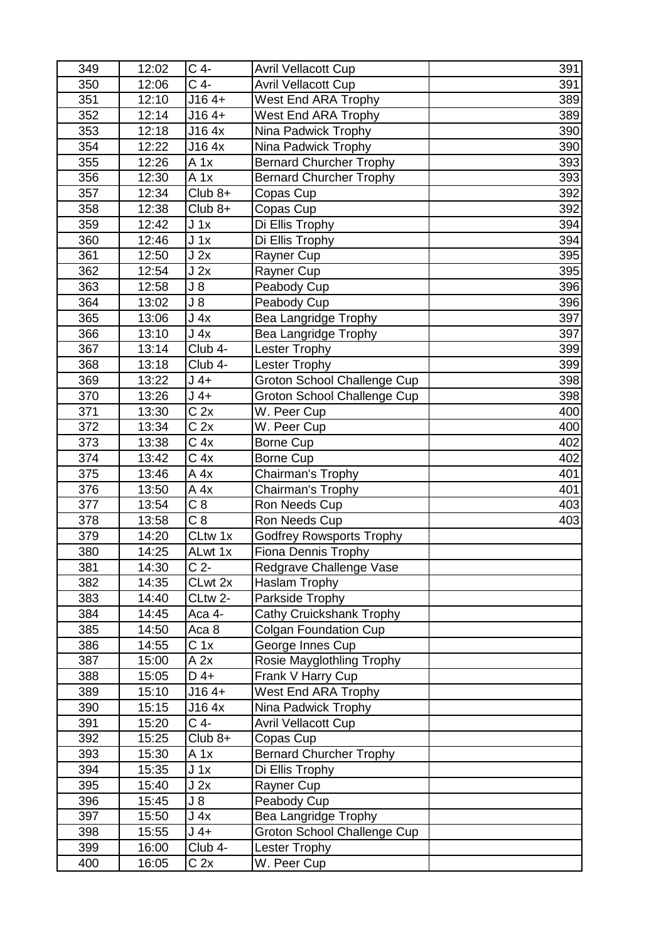| 349 | 12:02 | C 4-            | <b>Avril Vellacott Cup</b>         | 391 |
|-----|-------|-----------------|------------------------------------|-----|
| 350 | 12:06 | $C$ 4-          | <b>Avril Vellacott Cup</b>         | 391 |
| 351 | 12:10 | $J164+$         | <b>West End ARA Trophy</b>         | 389 |
| 352 | 12:14 | $J164+$         | West End ARA Trophy                | 389 |
| 353 | 12:18 | J16 4x          | Nina Padwick Trophy                | 390 |
| 354 | 12:22 | J16 4x          | Nina Padwick Trophy                | 390 |
| 355 | 12:26 | $A$ 1x          | <b>Bernard Churcher Trophy</b>     | 393 |
| 356 | 12:30 | A 1x            | <b>Bernard Churcher Trophy</b>     | 393 |
| 357 | 12:34 | $Club 8+$       | Copas Cup                          | 392 |
| 358 | 12:38 | $Club 8+$       | Copas Cup                          | 392 |
| 359 | 12:42 | $J_1x$          | Di Ellis Trophy                    | 394 |
| 360 | 12:46 | $J_1x$          | Di Ellis Trophy                    | 394 |
| 361 | 12:50 | J2x             | Rayner Cup                         | 395 |
| 362 | 12:54 | J2x             | Rayner Cup                         | 395 |
| 363 | 12:58 | $J_8$           | Peabody Cup                        | 396 |
| 364 | 13:02 | $J_8$           | Peabody Cup                        | 396 |
| 365 | 13:06 | J 4x            | <b>Bea Langridge Trophy</b>        | 397 |
| 366 | 13:10 | J 4x            | Bea Langridge Trophy               | 397 |
| 367 | 13:14 | Club 4-         | <b>Lester Trophy</b>               | 399 |
| 368 | 13:18 | Club 4-         | <b>Lester Trophy</b>               | 399 |
| 369 | 13:22 | $J$ 4+          | <b>Groton School Challenge Cup</b> | 398 |
| 370 | 13:26 | $J$ 4+          | Groton School Challenge Cup        | 398 |
| 371 | 13:30 | C <sub>2x</sub> | $\overline{W}$ . Peer Cup          | 400 |
| 372 | 13:34 | C <sub>2x</sub> | W. Peer Cup                        | 400 |
| 373 | 13:38 | C <sub>4x</sub> | <b>Borne Cup</b>                   | 402 |
| 374 | 13:42 | C <sub>4x</sub> | Borne Cup                          | 402 |
| 375 | 13:46 | A 4x            | Chairman's Trophy                  | 401 |
| 376 | 13:50 | A 4x            | Chairman's Trophy                  | 401 |
| 377 | 13:54 | C <sub>8</sub>  | Ron Needs Cup                      | 403 |
| 378 | 13:58 | $C\overline{8}$ | Ron Needs Cup                      | 403 |
| 379 | 14:20 | CLtw 1x         | <b>Godfrey Rowsports Trophy</b>    |     |
| 380 | 14:25 | ALwt 1x         | <b>Fiona Dennis Trophy</b>         |     |
| 381 | 14:30 | C <sub>2</sub>  | Redgrave Challenge Vase            |     |
| 382 | 14:35 | CLwt 2x         | Haslam Trophy                      |     |
| 383 | 14:40 | CLtw 2-         | Parkside Trophy                    |     |
| 384 | 14:45 | Aca 4-          | Cathy Cruickshank Trophy           |     |
| 385 | 14:50 | Aca 8           | <b>Colgan Foundation Cup</b>       |     |
| 386 | 14:55 | C <sub>1x</sub> | George Innes Cup                   |     |
| 387 | 15:00 | A 2x            | Rosie Mayglothling Trophy          |     |
| 388 | 15:05 | $D$ 4+          | Frank V Harry Cup                  |     |
| 389 | 15:10 | $J164+$         | West End ARA Trophy                |     |
| 390 | 15:15 | J16 4x          | Nina Padwick Trophy                |     |
| 391 | 15:20 | $C$ 4-          | <b>Avril Vellacott Cup</b>         |     |
| 392 | 15:25 | $Club 8+$       | Copas Cup                          |     |
| 393 | 15:30 | A 1x            | <b>Bernard Churcher Trophy</b>     |     |
| 394 | 15:35 | $J_1x$          | Di Ellis Trophy                    |     |
| 395 | 15:40 | J 2x            | Rayner Cup                         |     |
| 396 | 15:45 | J 8             | Peabody Cup                        |     |
| 397 | 15:50 | J <sub>4x</sub> | <b>Bea Langridge Trophy</b>        |     |
| 398 | 15:55 | J 4+            | Groton School Challenge Cup        |     |
| 399 | 16:00 | Club 4-         | Lester Trophy                      |     |
| 400 | 16:05 | C <sub>2x</sub> | W. Peer Cup                        |     |